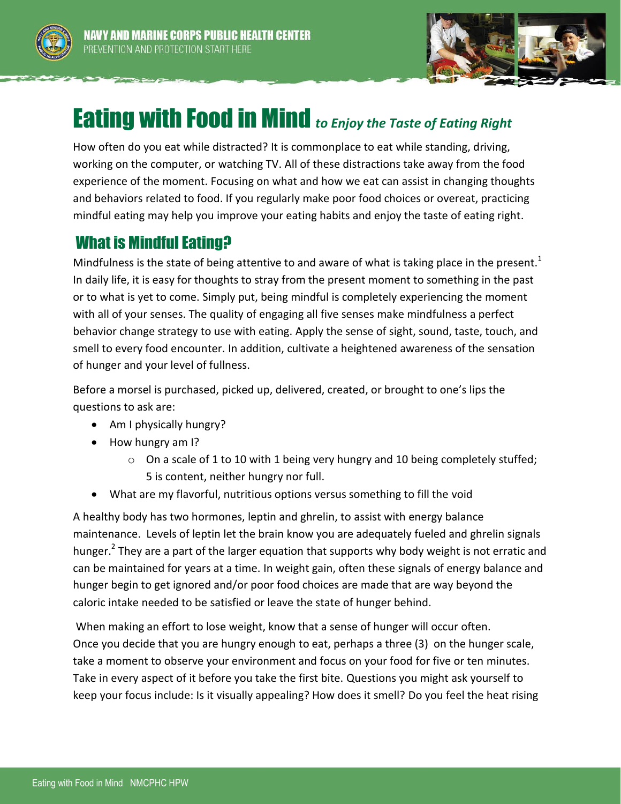



## Eating with Food in Mind *to Enjoy the Taste of Eating Right*

How often do you eat while distracted? It is commonplace to eat while standing, driving, working on the computer, or watching TV. All of these distractions take away from the food experience of the moment. Focusing on what and how we eat can assist in changing thoughts and behaviors related to food. If you regularly make poor food choices or overeat, practicing mindful eating may help you improve your eating habits and enjoy the taste of eating right.

## What is Mindful Eating?

Mindfulness is the state of being attentive to and aware of what is taking place in the present.<sup>1</sup> In daily life, it is easy for thoughts to stray from the present moment to something in the past or to what is yet to come. Simply put, being mindful is completely experiencing the moment with all of your senses. The quality of engaging all five senses make mindfulness a perfect behavior change strategy to use with eating. Apply the sense of sight, sound, taste, touch, and smell to every food encounter. In addition, cultivate a heightened awareness of the sensation of hunger and your level of fullness.

Before a morsel is purchased, picked up, delivered, created, or brought to one's lips the questions to ask are:

- Am I physically hungry?
- How hungry am I?
	- $\circ$  On a scale of 1 to 10 with 1 being very hungry and 10 being completely stuffed; 5 is content, neither hungry nor full.
- What are my flavorful, nutritious options versus something to fill the void

A healthy body has two hormones, leptin and ghrelin, to assist with energy balance maintenance. Levels of leptin let the brain know you are adequately fueled and ghrelin signals hunger.<sup>2</sup> They are a part of the larger equation that supports why body weight is not erratic and can be maintained for years at a time. In weight gain, often these signals of energy balance and hunger begin to get ignored and/or poor food choices are made that are way beyond the caloric intake needed to be satisfied or leave the state of hunger behind.

When making an effort to lose weight, know that a sense of hunger will occur often. Once you decide that you are hungry enough to eat, perhaps a three (3) on the hunger scale, take a moment to observe your environment and focus on your food for five or ten minutes. Take in every aspect of it before you take the first bite. Questions you might ask yourself to keep your focus include: Is it visually appealing? How does it smell? Do you feel the heat rising